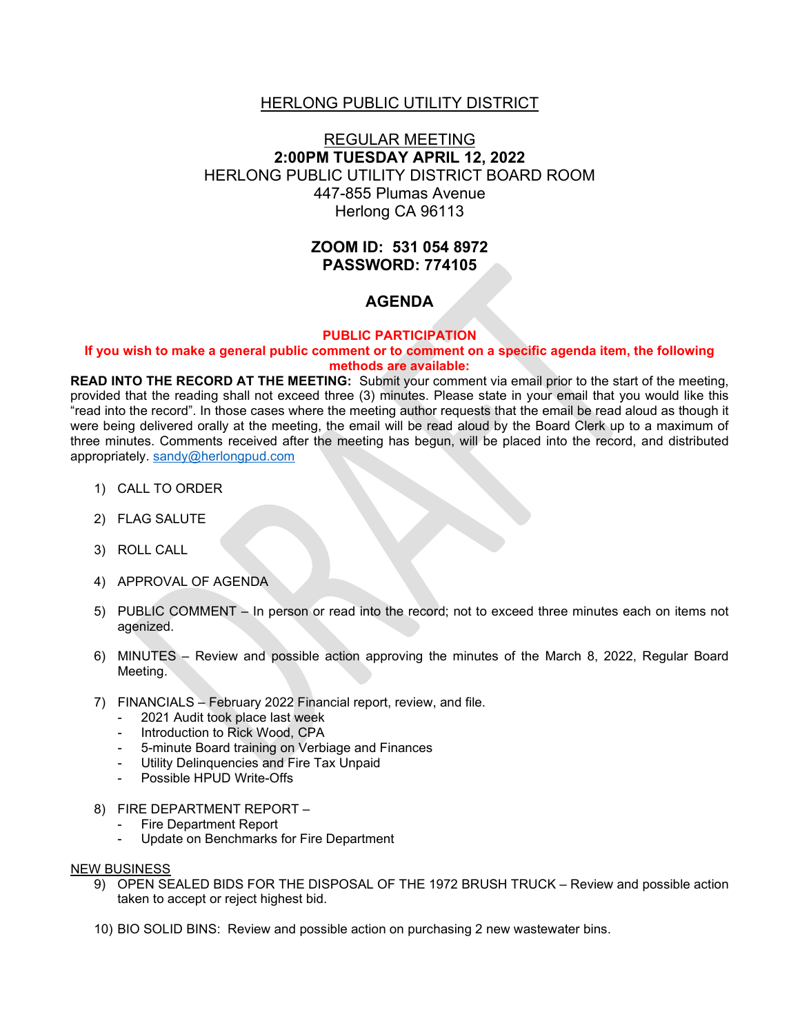# HERLONG PUBLIC UTILITY DISTRICT

# REGULAR MEETING **2:00PM TUESDAY APRIL 12, 2022** HERLONG PUBLIC UTILITY DISTRICT BOARD ROOM 447-855 Plumas Avenue Herlong CA 96113

# **ZOOM ID: 531 054 8972 PASSWORD: 774105**

# **AGENDA**

### **PUBLIC PARTICIPATION**

### **If you wish to make a general public comment or to comment on a specific agenda item, the following methods are available:**

**READ INTO THE RECORD AT THE MEETING:** Submit your comment via email prior to the start of the meeting, provided that the reading shall not exceed three (3) minutes. Please state in your email that you would like this "read into the record". In those cases where the meeting author requests that the email be read aloud as though it were being delivered orally at the meeting, the email will be read aloud by the Board Clerk up to a maximum of three minutes. Comments received after the meeting has begun, will be placed into the record, and distributed appropriately. [sandy@herlongpud.com](mailto:sandy@herlongpud.com)

- 1) CALL TO ORDER
- 2) FLAG SALUTE
- 3) ROLL CALL
- 4) APPROVAL OF AGENDA
- 5) PUBLIC COMMENT In person or read into the record; not to exceed three minutes each on items not agenized.
- 6) MINUTES Review and possible action approving the minutes of the March 8, 2022, Regular Board Meeting.
- 7) FINANCIALS February 2022 Financial report, review, and file.
	- 2021 Audit took place last week
	- Introduction to Rick Wood, CPA
	- 5-minute Board training on Verbiage and Finances
	- Utility Delinquencies and Fire Tax Unpaid
	- Possible HPUD Write-Offs
- 8) FIRE DEPARTMENT REPORT
	- Fire Department Report
	- Update on Benchmarks for Fire Department

#### NEW BUSINESS

- 9) OPEN SEALED BIDS FOR THE DISPOSAL OF THE 1972 BRUSH TRUCK Review and possible action taken to accept or reject highest bid.
- 10) BIO SOLID BINS: Review and possible action on purchasing 2 new wastewater bins.